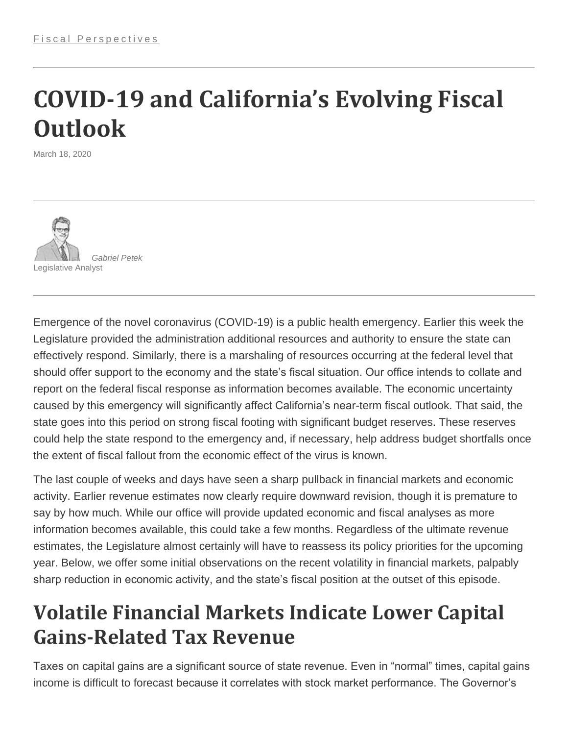# **COVID-19 and California's Evolving Fiscal Outlook**

March 18, 2020



Emergence of the novel coronavirus (COVID-19) is a public health emergency. Earlier this week the Legislature provided the administration additional resources and authority to ensure the state can effectively respond. Similarly, there is a marshaling of resources occurring at the federal level that should offer support to the economy and the state's fiscal situation. Our office intends to collate and report on the federal fiscal response as information becomes available. The economic uncertainty caused by this emergency will significantly affect California's near-term fiscal outlook. That said, the state goes into this period on strong fiscal footing with significant budget reserves. These reserves could help the state respond to the emergency and, if necessary, help address budget shortfalls once the extent of fiscal fallout from the economic effect of the virus is known.

The last couple of weeks and days have seen a sharp pullback in financial markets and economic activity. Earlier revenue estimates now clearly require downward revision, though it is premature to say by how much. While our office will provide updated economic and fiscal analyses as more information becomes available, this could take a few months. Regardless of the ultimate revenue estimates, the Legislature almost certainly will have to reassess its policy priorities for the upcoming year. Below, we offer some initial observations on the recent volatility in financial markets, palpably sharp reduction in economic activity, and the state's fiscal position at the outset of this episode.

#### **Volatile Financial Markets Indicate Lower Capital Gains-Related Tax Revenue**

Taxes on capital gains are a significant source of state revenue. Even in "normal" times, capital gains income is difficult to forecast because it correlates with stock market performance. The Governor's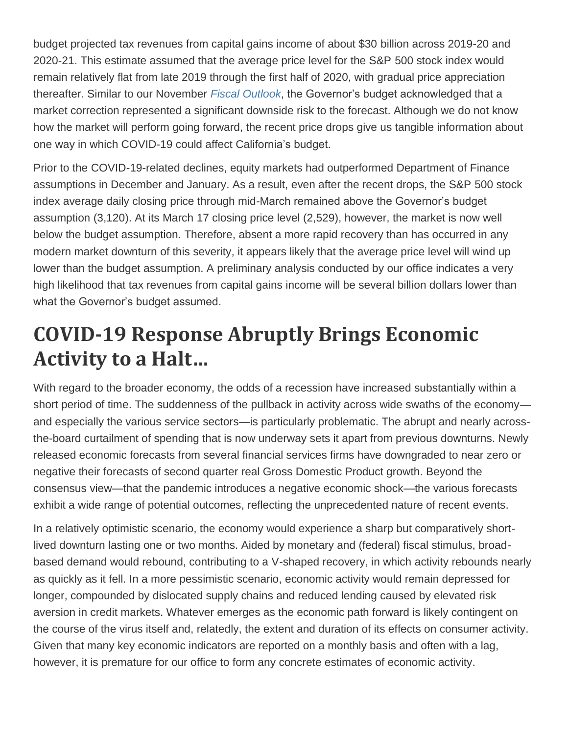budget projected tax revenues from capital gains income of about \$30 billion across 2019-20 and 2020-21. This estimate assumed that the average price level for the S&P 500 stock index would remain relatively flat from late 2019 through the first half of 2020, with gradual price appreciation thereafter. Similar to our November *[Fiscal Outlook](https://lao.ca.gov/Budget?year=2020&subjectArea=outlook)*, the Governor's budget acknowledged that a market correction represented a significant downside risk to the forecast. Although we do not know how the market will perform going forward, the recent price drops give us tangible information about one way in which COVID-19 could affect California's budget.

Prior to the COVID-19-related declines, equity markets had outperformed Department of Finance assumptions in December and January. As a result, even after the recent drops, the S&P 500 stock index average daily closing price through mid-March remained above the Governor's budget assumption (3,120). At its March 17 closing price level (2,529), however, the market is now well below the budget assumption. Therefore, absent a more rapid recovery than has occurred in any modern market downturn of this severity, it appears likely that the average price level will wind up lower than the budget assumption. A preliminary analysis conducted by our office indicates a very high likelihood that tax revenues from capital gains income will be several billion dollars lower than what the Governor's budget assumed.

## **COVID-19 Response Abruptly Brings Economic Activity to a Halt…**

With regard to the broader economy, the odds of a recession have increased substantially within a short period of time. The suddenness of the pullback in activity across wide swaths of the economyand especially the various service sectors—is particularly problematic. The abrupt and nearly acrossthe-board curtailment of spending that is now underway sets it apart from previous downturns. Newly released economic forecasts from several financial services firms have downgraded to near zero or negative their forecasts of second quarter real Gross Domestic Product growth. Beyond the consensus view—that the pandemic introduces a negative economic shock—the various forecasts exhibit a wide range of potential outcomes, reflecting the unprecedented nature of recent events.

In a relatively optimistic scenario, the economy would experience a sharp but comparatively shortlived downturn lasting one or two months. Aided by monetary and (federal) fiscal stimulus, broadbased demand would rebound, contributing to a V-shaped recovery, in which activity rebounds nearly as quickly as it fell. In a more pessimistic scenario, economic activity would remain depressed for longer, compounded by dislocated supply chains and reduced lending caused by elevated risk aversion in credit markets. Whatever emerges as the economic path forward is likely contingent on the course of the virus itself and, relatedly, the extent and duration of its effects on consumer activity. Given that many key economic indicators are reported on a monthly basis and often with a lag, however, it is premature for our office to form any concrete estimates of economic activity.